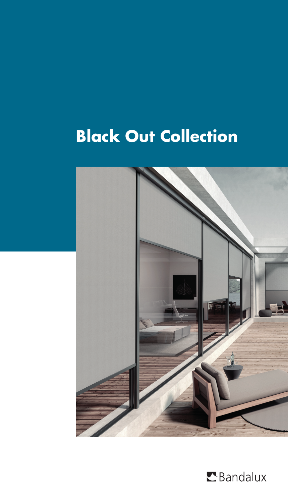# **Black Out Collection**